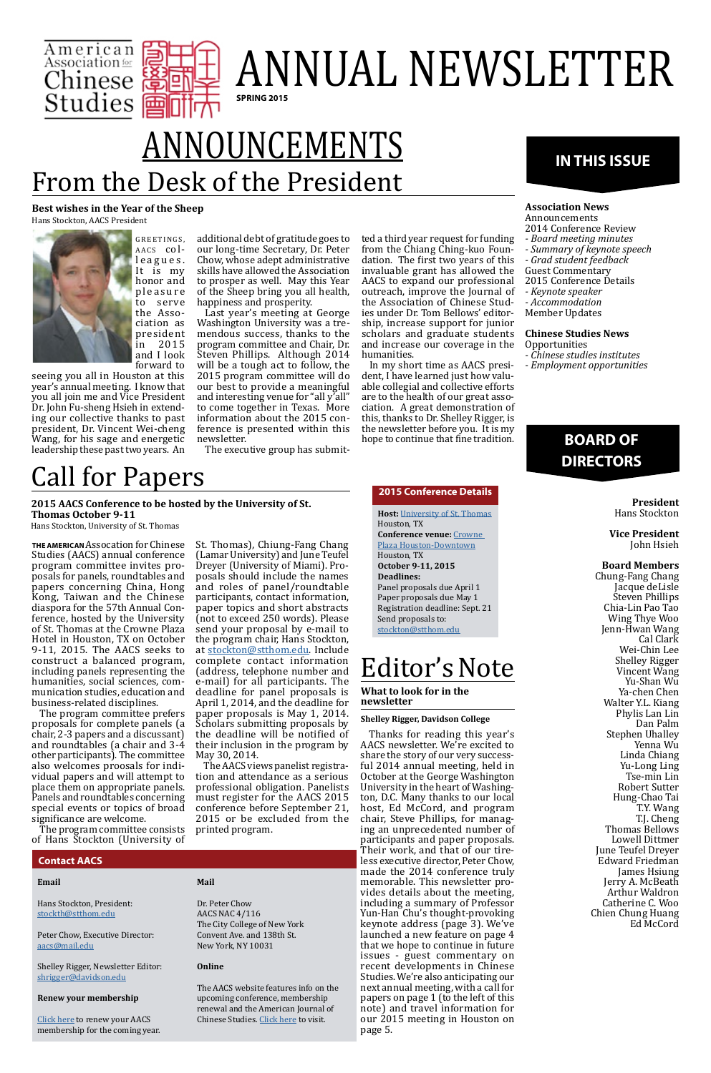**Best wishes in the Year of the Sheep** Hans Stockton, AACS President



GREETINGS, AACS coll e a g u e s . It is my honor and pleasure to serve the Association as president<br>in 2015 in 2015 and I look forward to

seeing you all in Houston at this year's annual meeting. I know that you all join me and Vice President Dr. John Fu-sheng Hsieh in extending our collective thanks to past president, Dr. Vincent Wei-cheng Wang, for his sage and energetic leadership these past two years. An

additional debt of gratitude goes to our long-time Secretary, Dr. Peter Chow, whose adept administrative skills have allowed the Association to prosper as well. May this Year of the Sheep bring you all health, happiness and prosperity.



## ANNUAL NEWSLETTER **SPRING 2015**

Last year's meeting at George Washington University was a tremendous success, thanks to the program committee and Chair, Dr. Steven Phillips. Although 2014 will be a tough act to follow, the 2015 program committee will do our best to provide a meaningful and interesting venue for "all y'all" to come together in Texas. More information about the 2015 conference is presented within this newsletter.

**Chinese Studies News Opportunities** 

The executive group has submit-

ted a third year request for funding from the Chiang Ching-kuo Foundation. The first two years of this invaluable grant has allowed the AACS to expand our professional outreach, improve the Journal of the Association of Chinese Studies under Dr. Tom Bellows' editorship, increase support for junior scholars and graduate students and increase our coverage in the humanities.

In my short time as AACS president, I have learned just how valuable collegial and collective efforts are to the health of our great association. A great demonstration of this, thanks to Dr. Shelley Rigger, is the newsletter before you. It is my hope to continue that fine tradition.

### **IN THIS ISSUE**

#### **Association News**

Announcements 2014 Conference Review

*- Board meeting minutes*

*- Summary of keynote speech*

*- Grad student feedback*

Guest Commentary

2015 Conference Details

*- Keynote speaker*

- *Accommodation*
- Member Updates

*- Chinese studies institutes*

*- Employment opportunities*

#### **BOARD OF DIRECTORS**

#### **President** Hans Stockton

**Vice President** John Hsieh

#### **Board Members**

Chung-Fang Chang Jacque deLisle Steven Phillips Chia-Lin Pao Tao Wing Thye Woo Jenn-Hwan Wang Cal Clark Wei-Chin Lee Shelley Rigger Vincent Wang Yu-Shan Wu Ya-chen Chen Walter Y.L. Kiang Phylis Lan Lin Dan Palm Stephen Uhalley Yenna Wu Linda Chiang Yu-Long Ling Tse-min Lin Robert Sutter Hung-Chao Tai T.Y. Wang T.J. Cheng Thomas Bellows Lowell Dittmer June Teufel Dreyer Edward Friedman James Hsiung Jerry A. McBeath Arthur Waldron Catherine C. Woo Chien Chung Huang Ed McCord

#### **Contact AACS**

#### **Email**

Hans Stockton, President: [stockth@stthom.edu](mailto:stockth%40stthom.edu?subject=%5BAACS%5D)

Peter Chow, Executive Director: [aacs@mail.edu](mailto:aacs%40mail.edu?subject=%5BAACS%5D)

Shelley Rigger, Newsletter Editor: [shrigger@davidson.edu](mailto:shrigger%40davidson.edu?subject=%5BAACS%5D)

#### **Renew your membership**

[Click here](http://aacs.ccny.cuny.edu/membership1.htm) to renew your AACS membership for the coming year.

#### **Mail**

Dr. Peter Chow AACS NAC 4/116 The City College of New York Convent Ave. and 138th St. New York, NY 10031

#### **Online**

The AACS website features info on the upcoming conference, membership renewal and the American Journal of Chinese Studies. [Click here](http://aacs.ccny.cuny.edu/homepage.htm) to visit.

## From the Desk of the President ANNOUNCEMENTS

**THE AMERICAN** Assocation for Chinese Studies (AACS) annual conference program committee invites proposals for panels, roundtables and papers concerning China, Hong Kong, Taiwan and the Chinese diaspora for the 57th Annual Conference, hosted by the University of St. Thomas at the Crowne Plaza Hotel in Houston, TX on October 9-11, 2015. The AACS seeks to construct a balanced program, including panels representing the humanities, social sciences, communication studies, education and business-related disciplines.

The program committee prefers proposals for complete panels (a chair, 2-3 papers and a discussant) and roundtables (a chair and 3-4 other participants). The committee also welcomes proosals for individual papers and will attempt to place them on appropriate panels. Panels and roundtables concerning special events or topics of broad significance are welcome.

The program committee consists of Hans Stockton (University of St. Thomas), Chiung-Fang Chang (Lamar University) and June Teufel Dreyer (University of Miami). Proposals should include the names and roles of panel/roundtable participants, contact information, paper topics and short abstracts (not to exceed 250 words). Please send your proposal by e-mail to the program chair, Hans Stockton, at [stockton@stthom.edu](mailto:stockton%40stthom.edu?subject=AACS%202015%20Conference%20-%20Panel%20Proposal). Include complete contact information (address, telephone number and e-mail) for all participants. The deadline for panel proposals is April 1, 2014, and the deadline for paper proposals is May 1, 2014. Scholars submitting proposals by the deadline will be notified of their inclusion in the program by May 30, 2014.

The AACS views panelist registration and attendance as a serious professional obligation. Panelists must register for the AACS 2015 conference before September 21, 2015 or be excluded from the printed program.

## Call for Papers

**2015 AACS Conference to be hosted by the University of St. Thomas October 9-11**

Hans Stockton, University of St. Thomas

#### **2015 Conference Details**

**Host:** [University of St. Thomas](www.stthom.edu) Houston, TX **Conference venue:** [Crowne](http://Crowne Plaza Houston-Downtown)  [Plaza Houston-Downtown](http://Crowne Plaza Houston-Downtown) Houston, TX **October 9-11, 2015 Deadlines:** Panel proposals due April 1 Paper proposals due May 1 Registration deadline: Sept. 21 Send proposals to: [stockton@stthom.edu](mailto:stockton%40stthom.edu?subject=%5BAACS%5D%202015%20Conference%20Proposal)

### Editor's Note

**What to look for in the newsletter**

#### **Shelley Rigger, Davidson College**

Thanks for reading this year's AACS newsletter. We're excited to share the story of our very successful 2014 annual meeting, held in October at the George Washington University in the heart of Washington, D.C. Many thanks to our local host, Ed McCord, and program chair, Steve Phillips, for managing an unprecedented number of participants and paper proposals. Their work, and that of our tireless executive director, Peter Chow, made the 2014 conference truly memorable. This newsletter provides details about the meeting, including a summary of Professor Yun-Han Chu's thought-provoking keynote address (page 3). We've launched a new feature on page 4 that we hope to continue in future issues - guest commentary on recent developments in Chinese Studies. We're also anticipating our next annual meeting, with a call for papers on page 1 (to the left of this note) and travel information for our 2015 meeting in Houston on page 5.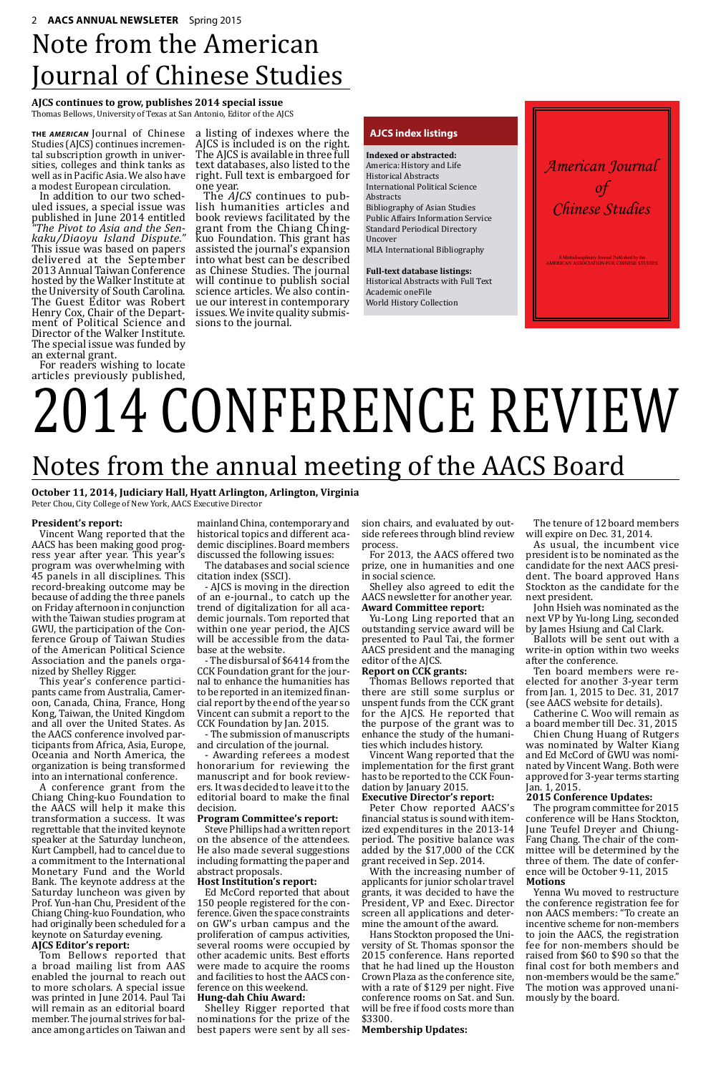*American Journal of Chinese Studies*

A Multidisciplinary Journal Published by the AMERICAN ASSOCIATION FOR CHINESE STUDIES

## Note from the American Journal of Chinese Studies

#### **AJCS continues to grow, publishes 2014 special issue**

Thomas Bellows, University of Texas at San Antonio, Editor of the AJCS

**THE** *AMERICAN* Journal of Chinese Studies (AJCS) continues incremental subscription growth in universities, colleges and think tanks as well as in Pacific Asia. We also have

a modest European circulation. uled issues, a special issue was published in June 2014 entitled *"The Pivot to Asia and the Sen- kaku/Diaoyu Island Dispute."* This issue was based on papers delivered at the September 2013 Annual Taiwan Conference hosted by the Walker Institute at the University of South Carolina. The Guest Editor was Robert<br>Henry Cox, Chair of the Department of Political Science and Director of the Walker Institute. The special issue was funded by an external grant.

For readers wishing to locate articles previously published, a listing of indexes where the AJCS is included is on the right. The AJCS is available in three full text databases, also listed to the right. Full text is embargoed for one year.

The *AJCS* continues to pub- lish humanities articles and book reviews facilitated by the grant from the Chiang Chingkuo Foundation. This grant has assisted the journal's expansion into what best can be described as Chinese Studies. The journal will continue to publish social<br>science articles. We also continue our interest in contemporary issues. We invite quality submis- sions to the journal.

#### **President's report:**

Vincent Wang reported that the AACS has been making good progress year after year. This year's program was overwhelming with 45 panels in all disciplines. This record-breaking outcome may be because of adding the three panels on Friday afternoon in conjunction with the Taiwan studies program at GWU, the participation of the Conference Group of Taiwan Studies of the American Political Science Association and the panels organized by Shelley Rigger.

This year's conference participants came from Australia, Cameroon, Canada, China, France, Hong Kong, Taiwan, the United Kingdom and all over the United States. As the AACS conference involved participants from Africa, Asia, Europe, Oceania and North America, the organization is being transformed into an international conference.

A conference grant from the Chiang Ching-kuo Foundation to the AACS will help it make this transformation a success. It was regrettable that the invited keynote speaker at the Saturday luncheon, Kurt Campbell, had to cancel due to a commitment to the International Monetary Fund and the World Bank. The keynote address at the Saturday luncheon was given by Prof. Yun-han Chu, President of the Chiang Ching-kuo Foundation, who had originally been scheduled for a keynote on Saturday evening. **AJCS Editor's report:** Tom Bellows reported that a broad mailing list from AAS enabled the journal to reach out to more scholars. A special issue was printed in June 2014. Paul Tai will remain as an editorial board member. The journal strives for balance among articles on Taiwan and

## Notes from the annual meeting of the AACS Board

**October 11, 2014, Judiciary Hall, Hyatt Arlington, Arlington, Virginia** Peter Chou, City College of New York, AACS Executive Director

# 2014 CONFERENCE REVIEW

mainland China, contemporary and historical topics and different academic disciplines. Board members discussed the following issues:

The databases and social science citation index (SSCI).

- AJCS is moving in the direction of an e-journal., to catch up the trend of digitalization for all academic journals. Tom reported that within one year period, the AJCS will be accessible from the database at the website.

- The disbursal of \$6414 from the CCK Foundation grant for the journal to enhance the humanities has to be reported in an itemized financial report by the end of the year so Vincent can submit a report to the CCK Foundation by Jan. 2015.

- The submission of manuscripts and circulation of the journal.

- Awarding referees a modest honorarium for reviewing the manuscript and for book reviewers. It was decided to leave it to the editorial board to make the final decision.

#### **Program Committee's report:**

Steve Phillips had a written report on the absence of the attendees. He also made several suggestions including formatting the paper and abstract proposals.

#### **Host Institution's report:**

Ed McCord reported that about 150 people registered for the conference. Given the space constraints on GW's urban campus and the proliferation of campus activities, several rooms were occupied by other academic units. Best efforts were made to acquire the rooms and facilities to host the AACS conference on this weekend. **Hung-dah Chiu Award:**

Shelley Rigger reported that nominations for the prize of the best papers were sent by all session chairs, and evaluated by outside referees through blind review process.

For 2013, the AACS offered two prize, one in humanities and one in social science.

Shelley also agreed to edit the AACS newsletter for another year. **Award Committee report:**

Yu-Long Ling reported that an outstanding service award will be presented to Paul Tai, the former AACS president and the managing editor of the AJCS.

#### **Report on CCK grants:**

Thomas Bellows reported that there are still some surplus or unspent funds from the CCK grant for the AJCS. He reported that the purpose of the grant was to enhance the study of the humanities which includes history.

Vincent Wang reported that the implementation for the first grant has to be reported to the CCK Foundation by January 2015.

#### **Executive Director's report:**

Peter Chow reported AACS's financial status is sound with itemized expenditures in the 2013-14 period. The positive balance was added by the \$17,000 of the CCK grant received in Sep. 2014.

With the increasing number of applicants for junior scholar travel grants, it was decided to have the President, VP and Exec. Director screen all applications and determine the amount of the award.

Hans Stockton proposed the University of St. Thomas sponsor the 2015 conference. Hans reported that he had lined up the Houston Crown Plaza as the conference site, with a rate of \$129 per night. Five conference rooms on Sat. and Sun. will be free if food costs more than \$3300.

#### **Membership Updates:**

The tenure of 12 board members will expire on Dec. 31, 2014.

As usual, the incumbent vice president is to be nominated as the candidate for the next AACS president. The board approved Hans Stockton as the candidate for the next president.

John Hsieh was nominated as the next VP by Yu-long Ling, seconded by James Hsiung and Cal Clark.

Ballots will be sent out with a write-in option within two weeks after the conference.

Ten board members were reelected for another 3-year term from Jan. 1, 2015 to Dec. 31, 2017 (see AACS website for details).

Catherine C. Woo will remain as a board member till Dec. 31, 2015

Chien Chung Huang of Rutgers was nominated by Walter Kiang and Ed McCord of GWU was nominated by Vincent Wang. Both were approved for 3-year terms starting Jan. 1, 2015.

#### **2015 Conference Updates:**

The program committee for 2015 conference will be Hans Stockton, June Teufel Dreyer and Chiung-Fang Chang. The chair of the committee will be determined by the three of them. The date of conference will be October 9-11, 2015 **Motions**

Yenna Wu moved to restructure the conference registration fee for non AACS members: "To create an incentive scheme for non-members to join the AACS, the registration fee for non-members should be raised from \$60 to \$90 so that the final cost for both members and non-members would be the same." The motion was approved unanimously by the board.

#### **AJCS index listings**

**Indexed or abstracted:** America: History and Life Historical Abstracts International Political Science Abstracts Bibliography of Asian Studies Public Affairs Information Service Standard Periodical Directory Uncover MLA International Bibliography

**Full-text database listings:** Historical Abstracts with Full Text Academic oneFile World History Collection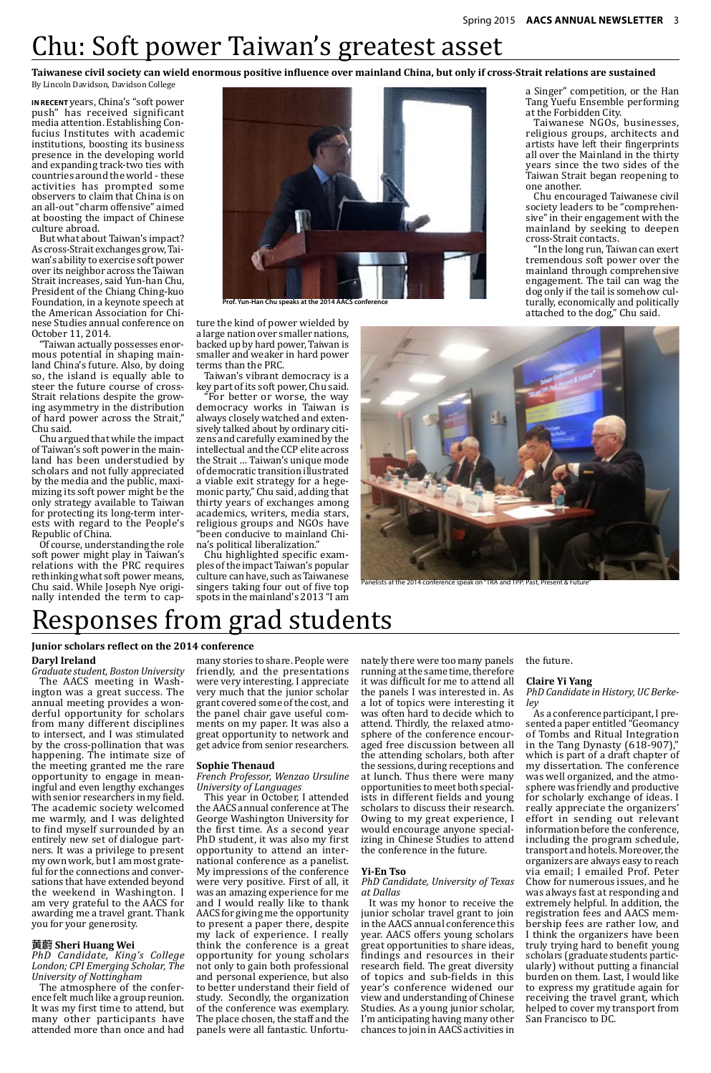

**Prof. Yun-Han Chu speaks at the 2014 AACS conference**

**IN RECENT** years, China's "soft power push" has received significant media attention. Establishing Confucius Institutes with academic institutions, boosting its business presence in the developing world and expanding track-two ties with countries around the world - these activities has prompted some observers to claim that China is on an all-out "charm offensive" aimed at boosting the impact of Chinese culture abroad.

But what about Taiwan's impact? As cross-Strait exchanges grow, Taiwan's ability to exercise soft power over its neighbor across the Taiwan Strait increases, said Yun-han Chu, President of the Chiang Ching-kuo Foundation, in a keynote speech at the American Association for Chinese Studies annual conference on October 11, 2014.

"Taiwan actually possesses enormous potential in shaping mainland China's future. Also, by doing so, the island is equally able to steer the future course of cross-Strait relations despite the growing asymmetry in the distribution of hard power across the Strait," Chu said.

Chu argued that while the impact of Taiwan's soft power in the mainland has been understudied by scholars and not fully appreciated by the media and the public, maximizing its soft power might be the only strategy available to Taiwan for protecting its long-term interests with regard to the People's Republic of China.

Of course, understanding the role soft power might play in Taiwan's relations with the PRC requires rethinking what soft power means, Chu said. While Joseph Nye originally intended the term to cap-

the future.

#### **Claire Yi Yang**

#### *PhD Candidate in History, UC Berkeley*

As a conference participant, I presented a paper entitled "Geomancy of Tombs and Ritual Integration in the Tang Dynasty (618-907)," which is part of a draft chapter of my dissertation. The conference was well organized, and the atmosphere was friendly and productive for scholarly exchange of ideas. I really appreciate the organizers' effort in sending out relevant information before the conference, including the program schedule, transport and hotels. Moreover, the organizers are always easy to reach via email; I emailed Prof. Peter Chow for numerous issues, and he was always fast at responding and extremely helpful. In addition, the registration fees and AACS membership fees are rather low, and I think the organizers have been truly trying hard to benefit young scholars (graduate students particularly) without putting a financial burden on them. Last, I would like to express my gratitude again for receiving the travel grant, which helped to cover my transport from San Francisco to DC.

ture the kind of power wielded by a large nation over smaller nations, backed up by hard power, Taiwan is smaller and weaker in hard power terms than the PRC.

Taiwan's vibrant democracy is a key part of its soft power, Chu said.

"For better or worse, the way democracy works in Taiwan is always closely watched and extensively talked about by ordinary citizens and carefully examined by the intellectual and the CCP elite across the Strait … Taiwan's unique mode of democratic transition illustrated a viable exit strategy for a hegemonic party," Chu said, adding that thirty years of exchanges among academics, writers, media stars, religious groups and NGOs have "been conducive to mainland China's political liberalization."

Chu highlighted specific examples of the impact Taiwan's popular culture can have, such as Taiwanese singers taking four out of five top spots in the mainland's 2013 "I am a Singer" competition, or the Han Tang Yuefu Ensemble performing at the Forbidden City.

Taiwanese NGOs, businesses, religious groups, architects and artists have left their fingerprints all over the Mainland in the thirty years since the two sides of the Taiwan Strait began reopening to one another.

Chu encouraged Taiwanese civil society leaders to be "comprehensive" in their engagement with the mainland by seeking to deepen cross-Strait contacts.

"In the long run, Taiwan can exert tremendous soft power over the mainland through comprehensive engagement. The tail can wag the dog only if the tail is somehow culturally, economically and politically attached to the dog," Chu said.



Panelists at the 2014 conference speak on "TRA and TPP: Past, Present & Future

## Chu: Soft power Taiwan's greatest asset

#### **Taiwanese civil society can wield enormous positive influence over mainland China, but only if cross-Strait relations are sustained**

By Lincoln Davidson, Davidson College

## Responses from grad students

#### **Junior scholars reflect on the 2014 conference**

#### **Daryl Ireland**

*Graduate student, Boston University* The AACS meeting in Washington was a great success. The annual meeting provides a wonderful opportunity for scholars from many different disciplines to intersect, and I was stimulated by the cross-pollination that was happening. The intimate size of the meeting granted me the rare opportunity to engage in meaningful and even lengthy exchanges with senior researchers in my field. The academic society welcomed me warmly, and I was delighted to find myself surrounded by an entirely new set of dialogue partners. It was a privilege to present my own work, but I am most grateful for the connections and conversations that have extended beyond the weekend in Washington. I am very grateful to the AACS for awarding me a travel grant. Thank you for your generosity.

#### **黄蔚 Sheri Huang Wei**

*PhD Candidate, King's College London; CPI Emerging Scholar, The University of Nottingham*

The atmosphere of the conference felt much like a group reunion. It was my first time to attend, but many other participants have attended more than once and had

many stories to share. People were friendly, and the presentations were very interesting. I appreciate very much that the junior scholar grant covered some of the cost, and the panel chair gave useful comments on my paper. It was also a great opportunity to network and get advice from senior researchers.

#### **Sophie Thenaud**

*French Professor, Wenzao Ursuline University of Languages*

This year in October, I attended the AACS annual conference at The George Washington University for the first time. As a second year PhD student, it was also my first opportunity to attend an international conference as a panelist. My impressions of the conference were very positive. First of all, it was an amazing experience for me and I would really like to thank AACS for giving me the opportunity to present a paper there, despite my lack of experience. I really think the conference is a great opportunity for young scholars not only to gain both professional and personal experience, but also to better understand their field of study. Secondly, the organization of the conference was exemplary. The place chosen, the staff and the panels were all fantastic. Unfortunately there were too many panels running at the same time, therefore it was difficult for me to attend all the panels I was interested in. As a lot of topics were interesting it was often hard to decide which to attend. Thirdly, the relaxed atmosphere of the conference encouraged free discussion between all the attending scholars, both after the sessions, during receptions and at lunch. Thus there were many opportunities to meet both special-

ists in different fields and young scholars to discuss their research. Owing to my great experience, I would encourage anyone specializing in Chinese Studies to attend the conference in the future.

#### **Yi-En Tso**

*PhD Candidate, University of Texas at Dallas*

It was my honor to receive the junior scholar travel grant to join in the AACS annual conference this year. AACS offers young scholars great opportunities to share ideas, findings and resources in their research field. The great diversity of topics and sub-fields in this year's conference widened our view and understanding of Chinese Studies. As a young junior scholar, I'm anticipating having many other chances to join in AACS activities in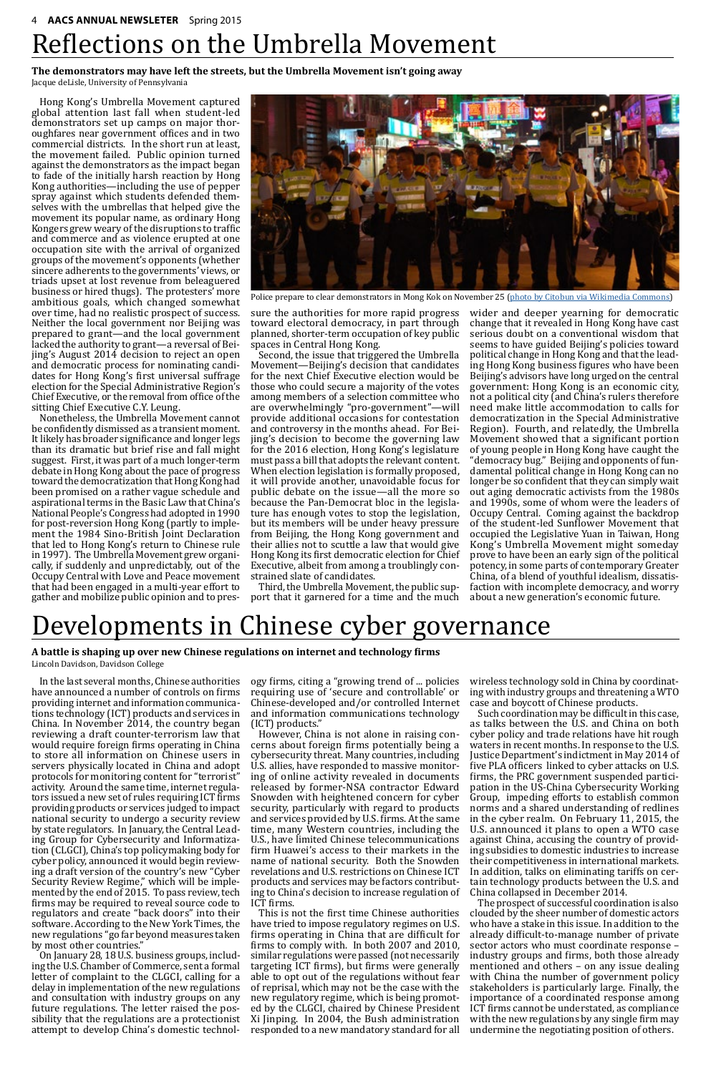

Police prepare to clear demonstrators in Mong Kok on November 25 ([photo by Citobun via Wikimedia Commons](http://commons.wikimedia.org/wiki/File:Umbrella_movement_Mong_Kok_clearance_19.JPG))

Hong Kong's Umbrella Movement captured global attention last fall when student-led demonstrators set up camps on major thoroughfares near government offices and in two commercial districts. In the short run at least, the movement failed. Public opinion turned against the demonstrators as the impact began to fade of the initially harsh reaction by Hong Kong authorities—including the use of pepper spray against which students defended themselves with the umbrellas that helped give the movement its popular name, as ordinary Hong Kongers grew weary of the disruptions to traffic and commerce and as violence erupted at one occupation site with the arrival of organized groups of the movement's opponents (whether sincere adherents to the governments' views, or triads upset at lost revenue from beleaguered business or hired thugs). The protesters' more ambitious goals, which changed somewhat over time, had no realistic prospect of success. Neither the local government nor Beijing was prepared to grant—and the local government lacked the authority to grant—a reversal of Beijing's August 2014 decision to reject an open and democratic process for nominating candidates for Hong Kong's first universal suffrage election for the Special Administrative Region's Chief Executive, or the removal from office of the sitting Chief Executive C.Y. Leung.

Nonetheless, the Umbrella Movement cannot be confidently dismissed as a transient moment. It likely has broader significance and longer legs than its dramatic but brief rise and fall might suggest. First, it was part of a much longer-term debate in Hong Kong about the pace of progress toward the democratization that Hong Kong had been promised on a rather vague schedule and aspirational terms in the Basic Law that China's National People's Congress had adopted in 1990 for post-reversion Hong Kong (partly to implement the 1984 Sino-British Joint Declaration that led to Hong Kong's return to Chinese rule in 1997). The Umbrella Movement grew organically, if suddenly and unpredictably, out of the Occupy Central with Love and Peace movement that had been engaged in a multi-year effort to gather and mobilize public opinion and to pressure the authorities for more rapid progress toward electoral democracy, in part through planned, shorter-term occupation of key public spaces in Central Hong Kong.

Second, the issue that triggered the Umbrella Movement—Beijing's decision that candidates for the next Chief Executive election would be those who could secure a majority of the votes among members of a selection committee who are overwhelmingly "pro-government"—will provide additional occasions for contestation and controversy in the months ahead. For Beijing's decision to become the governing law for the 2016 election, Hong Kong's legislature must pass a bill that adopts the relevant content. When election legislation is formally proposed, it will provide another, unavoidable focus for public debate on the issue—all the more so because the Pan-Democrat bloc in the legislature has enough votes to stop the legislation, but its members will be under heavy pressure from Beijing, the Hong Kong government and their allies not to scuttle a law that would give Hong Kong its first democratic election for Chief Executive, albeit from among a troublingly constrained slate of candidates.

Third, the Umbrella Movement, the public support that it garnered for a time and the much

wider and deeper yearning for democratic change that it revealed in Hong Kong have cast serious doubt on a conventional wisdom that seems to have guided Beijing's policies toward political change in Hong Kong and that the leading Hong Kong business figures who have been Beijing's advisors have long urged on the central government: Hong Kong is an economic city, not a political city (and China's rulers therefore need make little accommodation to calls for democratization in the Special Administrative Region). Fourth, and relatedly, the Umbrella Movement showed that a significant portion of young people in Hong Kong have caught the "democracy bug." Beijing and opponents of fundamental political change in Hong Kong can no longer be so confident that they can simply wait out aging democratic activists from the 1980s and 1990s, some of whom were the leaders of Occupy Central. Coming against the backdrop of the student-led Sunflower Movement that occupied the Legislative Yuan in Taiwan, Hong Kong's Umbrella Movement might someday prove to have been an early sign of the political potency, in some parts of contemporary Greater China, of a blend of youthful idealism, dissatisfaction with incomplete democracy, and worry about a new generation's economic future.

## Reflections on the Umbrella Movement

**The demonstrators may have left the streets, but the Umbrella Movement isn't going away**

Jacque deLisle, University of Pennsylvania

In the last several months, Chinese authorities have announced a number of controls on firms providing internet and information communications technology (ICT) products and services in China. In November 2014, the country began reviewing a draft counter-terrorism law that would require foreign firms operating in China to store all information on Chinese users in servers physically located in China and adopt protocols for monitoring content for "terrorist" activity. Around the same time, internet regulators issued a new set of rules requiring ICT firms providing products or services judged to impact national security to undergo a security review by state regulators. In January, the Central Leading Group for Cybersecurity and Informatization (CLGCI), China's top policymaking body for cyber policy, announced it would begin reviewing a draft version of the country's new "Cyber Security Review Regime," which will be implemented by the end of 2015. To pass review, tech firms may be required to reveal source code to regulators and create "back doors" into their software. According to the New York Times, the new regulations "go far beyond measures taken by most other countries." On January 28, 18 U.S. business groups, including the U.S. Chamber of Commerce, sent a formal letter of complaint to the CLGCI, calling for a delay in implementation of the new regulations and consultation with industry groups on any future regulations. The letter raised the possibility that the regulations are a protectionist attempt to develop China's domestic technol-

ogy firms, citing a "growing trend of ... policies requiring use of 'secure and controllable' or Chinese-developed and/or controlled Internet and information communications technology (ICT) products."

However, China is not alone in raising concerns about foreign firms potentially being a cybersecurity threat. Many countries, including U.S. allies, have responded to massive monitoring of online activity revealed in documents released by former-NSA contractor Edward Snowden with heightened concern for cyber security, particularly with regard to products and services provided by U.S. firms. At the same time, many Western countries, including the U.S., have limited Chinese telecommunications firm Huawei's access to their markets in the name of national security. Both the Snowden revelations and U.S. restrictions on Chinese ICT products and services may be factors contributing to China's decision to increase regulation of ICT firms. This is not the first time Chinese authorities have tried to impose regulatory regimes on U.S. firms operating in China that are difficult for firms to comply with. In both 2007 and 2010, similar regulations were passed (not necessarily targeting ICT firms), but firms were generally able to opt out of the regulations without fear of reprisal, which may not be the case with the new regulatory regime, which is being promoted by the CLGCI, chaired by Chinese President Xi Jinping. In 2004, the Bush administration responded to a new mandatory standard for all

wireless technology sold in China by coordinating with industry groups and threatening a WTO case and boycott of Chinese products.

Such coordination may be difficult in this case, as talks between the U.S. and China on both cyber policy and trade relations have hit rough waters in recent months. In response to the U.S. Justice Department's indictment in May 2014 of five PLA officers linked to cyber attacks on U.S. firms, the PRC government suspended participation in the US-China Cybersecurity Working Group, impeding efforts to establish common norms and a shared understanding of redlines in the cyber realm. On February 11, 2015, the U.S. announced it plans to open a WTO case against China, accusing the country of providing subsidies to domestic industries to increase their competitiveness in international markets. In addition, talks on eliminating tariffs on certain technology products between the U.S. and China collapsed in December 2014. The prospect of successful coordination is also clouded by the sheer number of domestic actors who have a stake in this issue. In addition to the already difficult-to-manage number of private sector actors who must coordinate response – industry groups and firms, both those already mentioned and others – on any issue dealing with China the number of government policy stakeholders is particularly large. Finally, the importance of a coordinated response among ICT firms cannot be understated, as compliance with the new regulations by any single firm may undermine the negotiating position of others.

## Developments in Chinese cyber governance

#### **A battle is shaping up over new Chinese regulations on internet and technology firms** Lincoln Davidson, Davidson College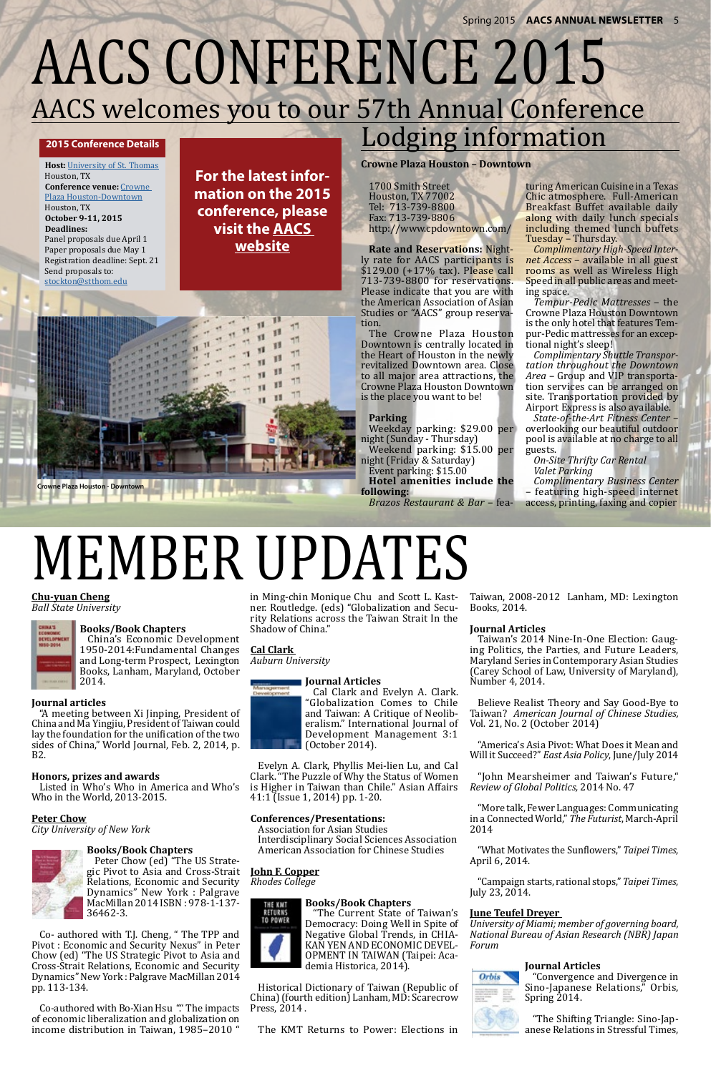

## AACS welcomes you to our 57th Annual Conference AACS CONFERENCE 2015

#### **2015 Conference Details**

**Host:** [University of St. Thomas](www.stthom.edu) Houston, TX **Conference venue:** [Crowne](http://Crowne Plaza Houston-Downtown)  [Plaza Houston-Downtown](http://Crowne Plaza Houston-Downtown) Houston, TX **October 9-11, 2015 Deadlines:** Panel proposals due April 1 Paper proposals due May 1 Registration deadline: Sept. 21 Send proposals to: [stockton@stthom.edu](mailto:stockton%40stthom.edu?subject=%5BAACS%5D%202015%20Conference%20Proposal)

## Lodging information

**Crowne Plaza Houston – Downtown**

1700 Smith Street Houston, TX 77002 Tel: 713-739-8800 Fax: 713-739-8806 [http://www.cpdowntown.com/](http://www.cpdowntown.com/   
)

**Rate and Reservations:** Nightly rate for AACS participants is \$129.00 (+17% tax). Please call 713-739-8800 for reservations. Please indicate that you are with the American Association of Asian Studies or "AACS" group reservation.

The Crowne Plaza Houston Downtown is centrally located in the Heart of Houston in the newly revitalized Downtown area. Close to all major area attractions, the Crowne Plaza Houston Downtown is the place you want to be!

#### **Parking**

Weekday parking: \$29.00 per night (Sunday - Thursday)

Weekend parking: \$15.00 per night (Friday & Saturday)

Event parking: \$15.00

**Hotel amenities include the following:**

*Brazos Restaurant & Bar* – fea-

turing American Cuisine in a Texas Chic atmosphere. Full-American Breakfast Buffet available daily along with daily lunch specials including themed lunch buffets Tuesday – Thursday.

*Complimentary High-Speed Internet Access* – available in all guest rooms as well as Wireless High Speed in all public areas and meeting space.

*Tempur-Pedic Mattresses* – the Crowne Plaza Houston Downtown is the only hotel that features Tempur-Pedic mattresses for an exceptional night's sleep!

*Complimentary Shuttle Transportation throughout the Downtown Area* – Group and VIP transportation services can be arranged on site. Transportation provided by Airport Express is also available.

*State-of-the-Art Fitness Center* – overlooking our beautiful outdoor pool is available at no charge to all guests.

*On-Site Thrifty Car Rental Valet Parking*

*Complimentary Business Center*  – featuring high-speed internet

access, printing, faxing and copier

**For the latest information on the 2015 conference, please visit the [AACS](http://aacs.ccny.cuny.edu/conferences1.htm)  [website](http://aacs.ccny.cuny.edu/conferences1.htm)**

## MEMBER UPDATES

#### **Chu-yuan Cheng** *Ball State University*



#### **Books/Book Chapters**

China's Economic Development 1950-2014:Fundamental Changes and Long-term Prospect, Lexington *Auburn University*  Books, Lanham, Maryland, October 2014.

#### **Journal articles**

"A meeting between Xi Jinping, President of China and Ma Yingjiu, President of Taiwan could lay the foundation for the unification of the two sides of China," World Journal, Feb. 2, 2014, p. B2.

#### **Honors, prizes and awards**

Who in the World, 2013-2015.

#### **Peter Chow**

*City University of New York*



#### **Books/Book Chapters**

Peter Chow (ed) "The US Strategic Pivot to Asia and Cross-Strait Relations, Economic and Security Dynamics" New York : Palgrave MacMillan 2014 ISBN : 978-1-137- 36462-3.

Co- authored with T.J. Cheng, " The TPP and Pivot : Economic and Security Nexus" in Peter Chow (ed) "The US Strategic Pivot to Asia and Cross-Strait Relations, Economic and Security Dynamics" New York : Palgrave MacMillan 2014 pp. 113-134.

Co-authored with Bo-Xian Hsu "." The impacts of economic liberalization and globalization on income distribution in Taiwan, 1985–2010 "

Listed in Who's Who in America and Who's is Higher in Taiwan than Chile." Asian Affairs Evelyn A. Clark, Phyllis Mei-lien Lu, and Cal Clark. "The Puzzle of Why the Status of Women 41:1 (Issue 1, 2014) pp. 1-20.

in Ming-chin Monique Chu and Scott L. Kastner. Routledge. (eds) "Globalization and Security Relations across the Taiwan Strait In the Shadow of China."

#### **Cal Clark**

#### **Journal Articles**

Cal Clark and Evelyn A. Clark. "Globalization Comes to Chile and Taiwan: A Critique of Neoliberalism." International Journal of Development Management 3:1 (October 2014).

#### **Conferences/Presentations:**

Association for Asian Studies Interdisciplinary Social Sciences Association American Association for Chinese Studies

#### **John F. Copper**

*Rhodes College*



#### **Books/Book Chapters**

"The Current State of Taiwan's Democracy: Doing Well in Spite of Negative Global Trends, in CHIA-KAN YEN AND ECONOMIC DEVEL-OPMENT IN TAIWAN (Taipei: Academia Historica, 2014).

Historical Dictionary of Taiwan (Republic of China) (fourth edition) Lanham, MD: Scarecrow Press, 2014 .

The KMT Returns to Power: Elections in

Taiwan, 2008-2012 Lanham, MD: Lexington Books, 2014.

#### **Journal Articles**

Taiwan's 2014 Nine-In-One Election: Gauging Politics, the Parties, and Future Leaders, Maryland Series in Contemporary Asian Studies (Carey School of Law, University of Maryland), Number 4, 2014.

Believe Realist Theory and Say Good-Bye to Taiwan? *American Journal of Chinese Studies,*  Vol. 21, No. 2 (October 2014)

"America's Asia Pivot: What Does it Mean and Will it Succeed?" *East Asia Policy*, June/July 2014

"John Mearsheimer and Taiwan's Future," *Review of Global Politics,* 2014 No. 47



"More talk, Fewer Languages: Communicating in a Connected World," *The Futurist*, March-April 2014

"What Motivates the Sunflowers," *Taipei Times*, April 6, 2014.

"Campaign starts, rational stops," *Taipei Times*, July 23, 2014.

#### **June Teufel Dreyer**

*University of Miami; member of governing board, National Bureau of Asian Research (NBR) Japan Forum*

#### **Journal Articles**



"Convergence and Divergence in Sino-Japanese Relations," Orbis, Spring 2014.

"The Shifting Triangle: Sino-Japanese Relations in Stressful Times,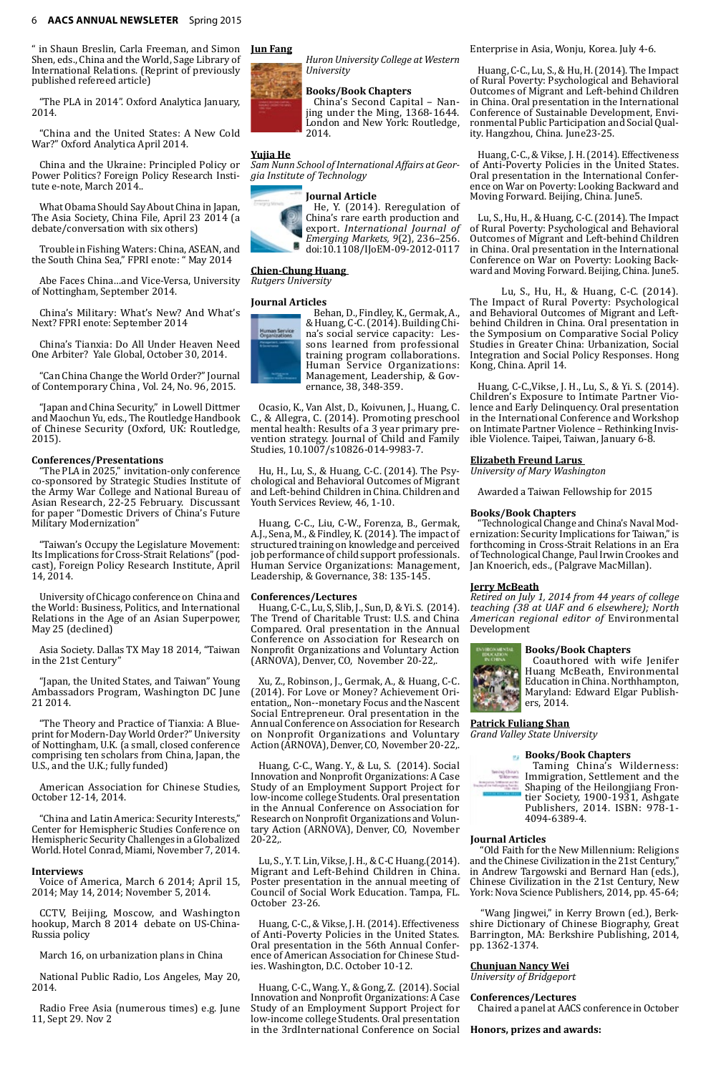" in Shaun Breslin, Carla Freeman, and Simon Shen, eds., China and the World, Sage Library of International Relations. (Reprint of previously published refereed article)

"The PLA in 2014". Oxford Analytica January, 2014.

"China and the United States: A New Cold War?" Oxford Analytica April 2014.

China and the Ukraine: Principled Policy or Power Politics? Foreign Policy Research Institute e-note, March 2014..

What Obama Should Say About China in Japan, The Asia Society, China File, April 23 2014 (a debate/conversation with six others)

Trouble in Fishing Waters: China, ASEAN, and the South China Sea," FPRI enote: " May 2014

Abe Faces China…and Vice-Versa, University of Nottingham, September 2014.

China's Military: What's New? And What's Next? FPRI enote: September 2014

China's Tianxia: Do All Under Heaven Need One Arbiter? Yale Global, October 30, 2014.

"Can China Change the World Order?" Journal of Contemporary China , Vol. 24, No. 96, 2015.

"Japan and China Security," in Lowell Dittmer and Maochun Yu, eds., The Routledge Handbook of Chinese Security (Oxford, UK: Routledge, 2015).

#### **Conferences/Presentations**

"The PLA in 2025," invitation-only conference co-sponsored by Strategic Studies Institute of the Army War College and National Bureau of Asian Research, 22-25 February. Discussant for paper "Domestic Drivers of China's Future Military Modernization"

"Taiwan's Occupy the Legislature Movement: Its Implications for Cross-Strait Relations" (podcast), Foreign Policy Research Institute, April 14, 2014.

University of Chicago conference on China and the World: Business, Politics, and International Relations in the Age of an Asian Superpower, May 25 (declined)

Asia Society. Dallas TX May 18 2014, "Taiwan in the 21st Century"

"Japan, the United States, and Taiwan" Young Ambassadors Program, Washington DC June 21 2014.

"The Theory and Practice of Tianxia: A Blueprint for Modern-Day World Order?" University of Nottingham, U.K. (a small, closed conference comprising ten scholars from China, Japan, the U.S., and the U.K.; fully funded)

American Association for Chinese Studies,

October 12-14, 2014.

"China and Latin America: Security Interests," Center for Hemispheric Studies Conference on Hemispheric Security Challenges in a Globalized World. Hotel Conrad, Miami, November 7, 2014.

#### **Interviews**

Voice of America, March 6 2014; April 15, 2014; May 14, 2014; November 5, 2014.

CCTV, Beijing, Moscow, and Washington hookup, March 8 2014 debate on US-China-Russia policy

March 16, on urbanization plans in China

National Public Radio, Los Angeles, May 20, 2014.

Radio Free Asia (numerous times) e.g. June 11, Sept 29. Nov 2

#### **Jun Fang**

*Huron University College at Western University*

#### **Books/Book Chapters**

China's Second Capital – Nanjing under the Ming, 1368-1644. London and New York: Routledge, 2014.

#### **Yujia He**

*Sam Nunn School of International Affairs at Georgia Institute of Technology*

#### **Journal Article**



He, Y. (2014). Reregulation of China's rare earth production and export. *International Journal of Emerging Markets, 9*(2), 236–256. doi:10.1108/IJoEM-09-2012-0117

#### **Chien-Chung Huang**

*Rutgers University*

#### **Journal Articles**



Behan, D., Findley, K., Germak, A., & Huang, C-C. (2014). Building China's social service capacity: Lessons learned from professional training program collaborations. Human Service Organizations: Management, Leadership, & Governance, 38, 348-359.

Ocasio, K., Van Alst, D., Koivunen, J., Huang, C. C., & Allegra, C. (2014). Promoting preschool mental health: Results of a 3 year primary prevention strategy. Journal of Child and Family Studies, 10.1007/s10826-014-9983-7.

Hu, H., Lu, S., & Huang, C-C. (2014). The Psychological and Behavioral Outcomes of Migrant and Left-behind Children in China. Children and Youth Services Review, 46, 1-10.

Huang, C-C., Liu, C-W., Forenza, B., Germak, A.J., Sena, M., & Findley, K. (2014). The impact of structured training on knowledge and perceived job performance of child support professionals. Human Service Organizations: Management, Leadership, & Governance, 38: 135-145.

#### **Conferences/Lectures**

Huang, C-C., Lu, S, Slib, J., Sun, D, & Yi. S. (2014). The Trend of Charitable Trust: U.S. and China Compared. Oral presentation in the Annual Conference on Association for Research on Nonprofit Organizations and Voluntary Action (ARNOVA), Denver, CO, November 20-22,.

Xu, Z., Robinson, J., Germak, A., & Huang, C-C. (2014). For Love or Money? Achievement Orientation,, Non--monetary Focus and the Nascent Social Entrepreneur. Oral presentation in the Annual Conference on Association for Research on Nonprofit Organizations and Voluntary Action (ARNOVA), Denver, CO, November 20-22,.

Huang, C-C., Wang. Y., & Lu, S. (2014). Social Innovation and Nonprofit Organizations: A Case Study of an Employment Support Project for low-income college Students. Oral presentation in the Annual Conference on Association for Research on Nonprofit Organizations and Voluntary Action (ARNOVA), Denver, CO, November 20-22,.

Lu, S., Y. T. Lin, Vikse, J. H., & C-C Huang.(2014). Migrant and Left-Behind Children in China. Poster presentation in the annual meeting of Council of Social Work Education. Tampa, FL. October 23-26.

Huang, C-C., & Vikse, J. H. (2014). Effectiveness of Anti-Poverty Policies in the United States. Oral presentation in the 56th Annual Conference of American Association for Chinese Studies. Washington, D.C. October 10-12.

Huang, C-C., Wang. Y., & Gong, Z. (2014). Social Innovation and Nonprofit Organizations: A Case Study of an Employment Support Project for low-income college Students. Oral presentation in the 3rdInternational Conference on Social

Enterprise in Asia, Wonju, Korea. July 4-6.

Huang, C-C., Lu, S., & Hu, H. (2014). The Impact of Rural Poverty: Psychological and Behavioral Outcomes of Migrant and Left-behind Children in China. Oral presentation in the International Conference of Sustainable Development, Environmental Public Participation and Social Quality. Hangzhou, China. June23-25.

Huang, C-C., & Vikse, J. H. (2014). Effectiveness of Anti-Poverty Policies in the United States. Oral presentation in the International Conference on War on Poverty: Looking Backward and Moving Forward. Beijing, China. June5.

Lu, S., Hu, H., & Huang, C-C. (2014). The Impact of Rural Poverty: Psychological and Behavioral Outcomes of Migrant and Left-behind Children in China. Oral presentation in the International Conference on War on Poverty: Looking Backward and Moving Forward. Beijing, China. June5.

Lu, S., Hu, H., & Huang, C-C. (2014). The Impact of Rural Poverty: Psychological and Behavioral Outcomes of Migrant and Leftbehind Children in China. Oral presentation in the Symposium on Comparative Social Policy Studies in Greater China: Urbanization, Social Integration and Social Policy Responses. Hong Kong, China. April 14.

Huang, C-C.,Vikse, J. H., Lu, S., & Yi. S. (2014). Children's Exposure to Intimate Partner Violence and Early Delinquency. Oral presentation in the International Conference and Workshop on Intimate Partner Violence – Rethinking Invisible Violence. Taipei, Taiwan, January 6-8.

#### **Elizabeth Freund Larus**

*University of Mary Washington*

Awarded a Taiwan Fellowship for 2015

#### **Books/Book Chapters**

"Technological Change and China's Naval Modernization: Security Implications for Taiwan," is forthcoming in Cross-Strait Relations in an Era of Technological Change, Paul Irwin Crookes and Jan Knoerich, eds., (Palgrave MacMillan).

#### **Jerry McBeath**

*Retired on July 1, 2014 from 44 years of college teaching (38 at UAF and 6 elsewhere); North American regional editor of* Environmental Development

#### **Books/Book Chapters**



Coauthored with wife Jenifer Huang McBeath, Environmental Education in China. Northhampton, Maryland: Edward Elgar Publishers, 2014.

**Patrick Fuliang Shan** *Grand Valley State University*



#### **Journal Articles**

 "Old Faith for the New Millennium: Religions and the Chinese Civilization in the 21st Century," in Andrew Targowski and Bernard Han (eds.), Chinese Civilization in the 21st Century, New York: Nova Science Publishers, 2014, pp. 45-64;

 "Wang Jingwei," in Kerry Brown (ed.), Berkshire Dictionary of Chinese Biography, Great Barrington, MA: Berkshire Publishing, 2014, pp. 1362-1374.

#### **Chunjuan Nancy Wei**

*University of Bridgeport*

#### **Conferences/Lectures**

Chaired a panel at AACS conference in October

#### **Honors, prizes and awards:**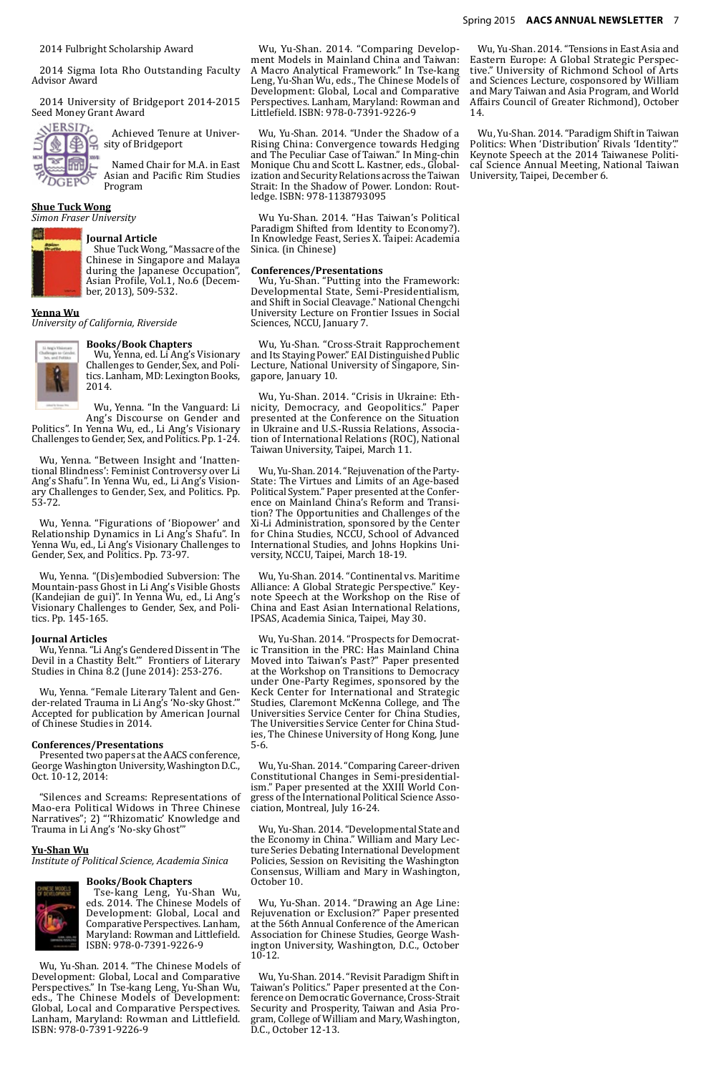2014 Fulbright Scholarship Award

2014 Sigma Iota Rho Outstanding Faculty Advisor Award

2014 University of Bridgeport 2014-2015 Seed Money Grant Award



Achieved Tenure at University of Bridgeport

Named Chair for M.A. in East Asian and Pacific Rim Studies Program

#### **Shue Tuck Wong**

*Simon Fraser University*



#### **Journal Article**

Shue Tuck Wong, "Massacre of the Chinese in Singapore and Malaya during the Japanese Occupation", Asian Profile, Vol.1, No.6 (December, 2013), 509-532.

#### **Yenna Wu**

*University of California, Riverside*



#### **Books/Book Chapters**

Wu, Yenna, ed. Li Ang's Visionary Challenges to Gender, Sex, and Politics. Lanham, MD: Lexington Books, 2014.

Wu, Yenna. "In the Vanguard: Li Ang's Discourse on Gender and

Politics". In Yenna Wu, ed., Li Ang's Visionary Challenges to Gender, Sex, and Politics. Pp. 1-24.

Wu, Yenna. "Between Insight and 'Inattentional Blindness': Feminist Controversy over Li Ang's Shafu". In Yenna Wu, ed., Li Ang's Visionary Challenges to Gender, Sex, and Politics. Pp. 53-72.

Wu, Yenna. "Figurations of 'Biopower' and Relationship Dynamics in Li Ang's Shafu". In Yenna Wu, ed., Li Ang's Visionary Challenges to Gender, Sex, and Politics. Pp. 73-97.

Wu, Yenna. "(Dis)embodied Subversion: The Mountain-pass Ghost in Li Ang's Visible Ghosts (Kandejian de gui)". In Yenna Wu, ed., Li Ang's Visionary Challenges to Gender, Sex, and Politics. Pp. 145-165.

#### **Journal Articles**

Wu, Yenna. "Li Ang's Gendered Dissent in 'The Devil in a Chastity Belt.'" Frontiers of Literary Studies in China 8.2 (June 2014): 253-276.

Wu, Yenna. "Female Literary Talent and Gender-related Trauma in Li Ang's 'No-sky Ghost.'" Accepted for publication by American Journal of Chinese Studies in 2014.

#### **Conferences/Presentations**

Presented two papers at the AACS conference, George Washington University, Washington D.C., Oct. 10-12, 2014:

"Silences and Screams: Representations of Mao-era Political Widows in Three Chinese Narratives"; 2) "'Rhizomatic' Knowledge and Trauma in Li Ang's 'No-sky Ghost'"

#### **Yu-Shan Wu**

*Institute of Political Science, Academia Sinica*

#### **Books/Book Chapters**



Tse-kang Leng, Yu-Shan Wu, eds. 2014. The Chinese Models of Development: Global, Local and Comparative Perspectives. Lanham, Maryland: Rowman and Littlefield. ISBN: 978-0-7391-9226-9

Wu, Yu-Shan. 2014. "The Chinese Models of Development: Global, Local and Comparative Perspectives." In Tse-kang Leng, Yu-Shan Wu, eds., The Chinese Models of Development: Global, Local and Comparative Perspectives. Lanham, Maryland: Rowman and Littlefield. ISBN: 978-0-7391-9226-9

Wu, Yu-Shan. 2014. "Comparing Development Models in Mainland China and Taiwan: A Macro Analytical Framework." In Tse-kang Leng, Yu-Shan Wu, eds., The Chinese Models of Development: Global, Local and Comparative Perspectives. Lanham, Maryland: Rowman and Littlefield. ISBN: 978-0-7391-9226-9

Wu, Yu-Shan. 2014. "Under the Shadow of a Rising China: Convergence towards Hedging and The Peculiar Case of Taiwan." In Ming-chin Monique Chu and Scott L. Kastner, eds., Globalization and Security Relations across the Taiwan Strait: In the Shadow of Power. London: Routledge. ISBN: 978-1138793095

Wu Yu-Shan. 2014. "Has Taiwan's Political Paradigm Shifted from Identity to Economy?). In Knowledge Feast, Series X. Taipei: Academia Sinica. (in Chinese)

#### **Conferences/Presentations**

Wu, Yu-Shan. "Putting into the Framework: Developmental State, Semi-Presidentialism, and Shift in Social Cleavage." National Chengchi University Lecture on Frontier Issues in Social Sciences, NCCU, January 7.

Wu, Yu-Shan. "Cross-Strait Rapprochement and Its Staying Power." EAI Distinguished Public Lecture, National University of Singapore, Singapore, January 10.

Wu, Yu-Shan. 2014. "Crisis in Ukraine: Ethnicity, Democracy, and Geopolitics." Paper presented at the Conference on the Situation in Ukraine and U.S.-Russia Relations, Association of International Relations (ROC), National Taiwan University, Taipei, March 11.

Wu, Yu-Shan. 2014. "Rejuvenation of the Party-State: The Virtues and Limits of an Age-based Political System." Paper presented at the Conference on Mainland China's Reform and Transition? The Opportunities and Challenges of the Xi-Li Administration, sponsored by the Center for China Studies, NCCU, School of Advanced International Studies, and Johns Hopkins University, NCCU, Taipei, March 18-19.

Wu, Yu-Shan. 2014. "Continental vs. Maritime Alliance: A Global Strategic Perspective." Keynote Speech at the Workshop on the Rise of China and East Asian International Relations, IPSAS, Academia Sinica, Taipei, May 30.

Wu, Yu-Shan. 2014. "Prospects for Democratic Transition in the PRC: Has Mainland China Moved into Taiwan's Past?" Paper presented at the Workshop on Transitions to Democracy under One-Party Regimes, sponsored by the Keck Center for International and Strategic Studies, Claremont McKenna College, and The Universities Service Center for China Studies, The Universities Service Center for China Studies, The Chinese University of Hong Kong, June 5-6.

Wu, Yu-Shan. 2014. "Comparing Career-driven Constitutional Changes in Semi-presidentialism." Paper presented at the XXIII World Con-

gress of the International Political Science Association, Montreal, July 16-24.

Wu, Yu-Shan. 2014. "Developmental State and the Economy in China." William and Mary Lecture Series Debating International Development Policies, Session on Revisiting the Washington Consensus, William and Mary in Washington, October 10.

Wu, Yu-Shan. 2014. "Drawing an Age Line: Rejuvenation or Exclusion?" Paper presented at the 56th Annual Conference of the American Association for Chinese Studies, George Washington University, Washington, D.C., October 10-12.

Wu, Yu-Shan. 2014. "Revisit Paradigm Shift in Taiwan's Politics." Paper presented at the Conference on Democratic Governance, Cross-Strait Security and Prosperity, Taiwan and Asia Program, College of William and Mary, Washington, D.C., October 12-13.

Wu, Yu-Shan. 2014. "Tensions in East Asia and Eastern Europe: A Global Strategic Perspective." University of Richmond School of Arts and Sciences Lecture, cosponsored by William and Mary Taiwan and Asia Program, and World Affairs Council of Greater Richmond), October 14.

Wu, Yu-Shan. 2014. "Paradigm Shift in Taiwan Politics: When 'Distribution' Rivals 'Identity'." Keynote Speech at the 2014 Taiwanese Political Science Annual Meeting, National Taiwan University, Taipei, December 6.